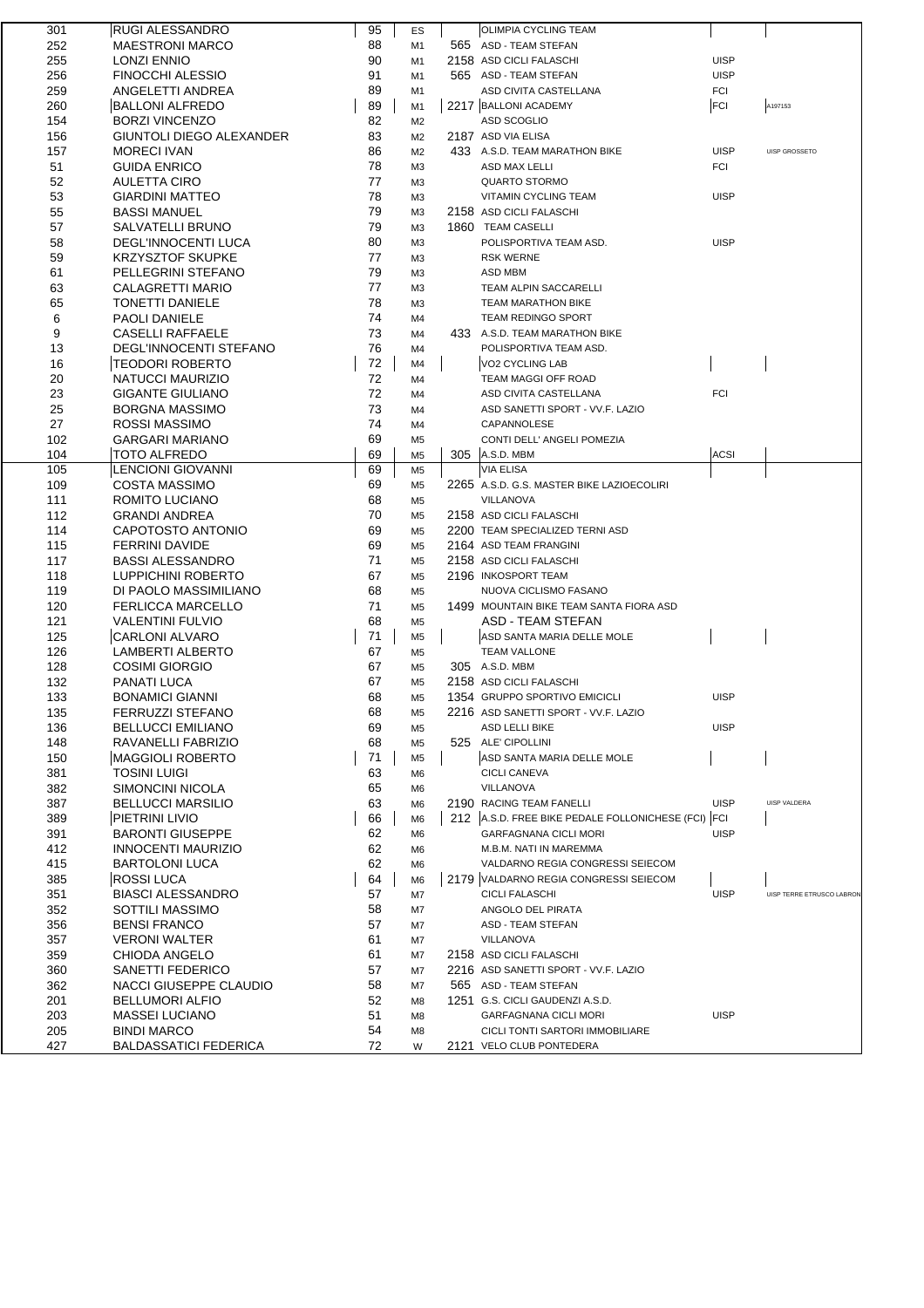| 301 | <b>RUGI ALESSANDRO</b>       | 95 | ES             | OLIMPIA CYCLING TEAM                               |             |                           |
|-----|------------------------------|----|----------------|----------------------------------------------------|-------------|---------------------------|
| 252 | <b>MAESTRONI MARCO</b>       | 88 | M1             | 565 ASD - TEAM STEFAN                              |             |                           |
| 255 | <b>LONZI ENNIO</b>           | 90 | M1             | 2158 ASD CICLI FALASCHI                            | <b>UISP</b> |                           |
| 256 | <b>FINOCCHI ALESSIO</b>      | 91 | M1             | 565 ASD - TEAM STEFAN                              | <b>UISP</b> |                           |
| 259 | ANGELETTI ANDREA             | 89 | M1             | ASD CIVITA CASTELLANA                              | <b>FCI</b>  |                           |
| 260 | <b>BALLONI ALFREDO</b>       | 89 | M <sub>1</sub> | 2217 BALLONI ACADEMY                               | FCI         | A197153                   |
| 154 | <b>BORZI VINCENZO</b>        | 82 | M <sub>2</sub> | <b>ASD SCOGLIO</b>                                 |             |                           |
| 156 | GIUNTOLI DIEGO ALEXANDER     | 83 | M <sub>2</sub> | 2187 ASD VIA ELISA                                 |             |                           |
| 157 | <b>MORECI IVAN</b>           | 86 | M <sub>2</sub> | 433 A.S.D. TEAM MARATHON BIKE                      | <b>UISP</b> | UISP GROSSETO             |
| 51  | <b>GUIDA ENRICO</b>          | 78 | M <sub>3</sub> | ASD MAX LELLI                                      | <b>FCI</b>  |                           |
| 52  | <b>AULETTA CIRO</b>          | 77 | M <sub>3</sub> | <b>QUARTO STORMO</b>                               |             |                           |
| 53  | <b>GIARDINI MATTEO</b>       | 78 | M <sub>3</sub> | VITAMIN CYCLING TEAM                               | <b>UISP</b> |                           |
| 55  | <b>BASSI MANUEL</b>          | 79 | M <sub>3</sub> | 2158 ASD CICLI FALASCHI                            |             |                           |
| 57  | SALVATELLI BRUNO             | 79 | M <sub>3</sub> | 1860 TEAM CASELLI                                  |             |                           |
| 58  | <b>DEGL'INNOCENTI LUCA</b>   | 80 | M <sub>3</sub> | POLISPORTIVA TEAM ASD.                             | <b>UISP</b> |                           |
| 59  | <b>KRZYSZTOF SKUPKE</b>      | 77 | M <sub>3</sub> | <b>RSK WERNE</b>                                   |             |                           |
| 61  | PELLEGRINI STEFANO           | 79 | M <sub>3</sub> | ASD MBM                                            |             |                           |
| 63  | CALAGRETTI MARIO             | 77 | M <sub>3</sub> | TEAM ALPIN SACCARELLI                              |             |                           |
| 65  | <b>TONETTI DANIELE</b>       | 78 | M <sub>3</sub> | <b>TEAM MARATHON BIKE</b>                          |             |                           |
| 6   | <b>PAOLI DANIELE</b>         | 74 | M4             | TEAM REDINGO SPORT                                 |             |                           |
| 9   | <b>CASELLI RAFFAELE</b>      | 73 | M4             | 433 A.S.D. TEAM MARATHON BIKE                      |             |                           |
| 13  | DEGL'INNOCENTI STEFANO       | 76 | M4             | POLISPORTIVA TEAM ASD.                             |             |                           |
| 16  | <b>TEODORI ROBERTO</b>       | 72 | M4             | VO2 CYCLING LAB                                    |             |                           |
| 20  | NATUCCI MAURIZIO             | 72 | M4             | TEAM MAGGI OFF ROAD                                |             |                           |
| 23  | <b>GIGANTE GIULIANO</b>      | 72 | M4             | ASD CIVITA CASTELLANA                              | <b>FCI</b>  |                           |
| 25  | <b>BORGNA MASSIMO</b>        | 73 | M4             | ASD SANETTI SPORT - VV.F. LAZIO                    |             |                           |
| 27  | ROSSI MASSIMO                | 74 | M4             | CAPANNOLESE                                        |             |                           |
| 102 | <b>GARGARI MARIANO</b>       | 69 | M <sub>5</sub> | CONTI DELL' ANGELI POMEZIA                         |             |                           |
| 104 | <b>TOTO ALFREDO</b>          | 69 | M <sub>5</sub> | 305 A.S.D. MBM                                     | <b>ACSI</b> |                           |
| 105 | LENCIONI GIOVANNI            | 69 | M <sub>5</sub> | <b>VIA ELISA</b>                                   |             |                           |
| 109 | <b>COSTA MASSIMO</b>         | 69 | M <sub>5</sub> | 2265 A.S.D. G.S. MASTER BIKE LAZIOECOLIRI          |             |                           |
| 111 | ROMITO LUCIANO               | 68 | M <sub>5</sub> | VILLANOVA                                          |             |                           |
| 112 | <b>GRANDI ANDREA</b>         | 70 | M <sub>5</sub> | 2158 ASD CICLI FALASCHI                            |             |                           |
| 114 | CAPOTOSTO ANTONIO            | 69 | M <sub>5</sub> | 2200 TEAM SPECIALIZED TERNI ASD                    |             |                           |
| 115 | <b>FERRINI DAVIDE</b>        | 69 | M <sub>5</sub> | 2164 ASD TEAM FRANGINI                             |             |                           |
| 117 | <b>BASSI ALESSANDRO</b>      | 71 | M <sub>5</sub> | 2158 ASD CICLI FALASCHI                            |             |                           |
| 118 | LUPPICHINI ROBERTO           | 67 | M <sub>5</sub> | 2196 INKOSPORT TEAM                                |             |                           |
| 119 | DI PAOLO MASSIMILIANO        | 68 | M <sub>5</sub> | NUOVA CICLISMO FASANO                              |             |                           |
| 120 | <b>FERLICCA MARCELLO</b>     | 71 | M <sub>5</sub> | 1499 MOUNTAIN BIKE TEAM SANTA FIORA ASD            |             |                           |
| 121 | <b>VALENTINI FULVIO</b>      | 68 | M <sub>5</sub> | ASD - TEAM STEFAN                                  |             |                           |
| 125 | CARLONI ALVARO               | 71 | M <sub>5</sub> | ASD SANTA MARIA DELLE MOLE                         |             |                           |
| 126 | <b>LAMBERTI ALBERTO</b>      | 67 | M <sub>5</sub> | <b>TEAM VALLONE</b>                                |             |                           |
| 128 | <b>COSIMI GIORGIO</b>        | 67 | M <sub>5</sub> | 305 A.S.D. MBM                                     |             |                           |
| 132 | PANATI LUCA                  | 67 | M <sub>5</sub> | 2158 ASD CICLI FALASCHI                            |             |                           |
| 133 | <b>BONAMICI GIANNI</b>       | 68 | M <sub>5</sub> | 1354 GRUPPO SPORTIVO EMICICLI                      | <b>UISP</b> |                           |
| 135 | FERRUZZI STEFANO             | 68 | M <sub>5</sub> | 2216 ASD SANETTI SPORT - VV.F. LAZIO               |             |                           |
| 136 | <b>BELLUCCI EMILIANO</b>     | 69 | M <sub>5</sub> | <b>ASD LELLI BIKE</b>                              | <b>UISP</b> |                           |
| 148 | RAVANELLI FABRIZIO           | 68 | M <sub>5</sub> | 525 ALE' CIPOLLINI                                 |             |                           |
| 150 | MAGGIOLI ROBERTO             | 71 | M <sub>5</sub> | ASD SANTA MARIA DELLE MOLE                         |             |                           |
| 381 | TOSINI LUIGI                 | 63 | M6             | <b>CICLI CANEVA</b>                                |             |                           |
| 382 | SIMONCINI NICOLA             | 65 | M <sub>6</sub> | VILLANOVA                                          |             |                           |
| 387 | <b>BELLUCCI MARSILIO</b>     | 63 | M <sub>6</sub> | 2190 RACING TEAM FANELLI                           | <b>UISP</b> | UISP VALDERA              |
| 389 | PIETRINI LIVIO               | 66 | M <sub>6</sub> | 212 A.S.D. FREE BIKE PEDALE FOLLONICHESE (FCI) FCI |             |                           |
| 391 | <b>BARONTI GIUSEPPE</b>      | 62 | M6             | <b>GARFAGNANA CICLI MORI</b>                       | <b>UISP</b> |                           |
| 412 | <b>INNOCENTI MAURIZIO</b>    | 62 | M <sub>6</sub> | M.B.M. NATI IN MAREMMA                             |             |                           |
| 415 | <b>BARTOLONI LUCA</b>        | 62 | M <sub>6</sub> | VALDARNO REGIA CONGRESSI SEIECOM                   |             |                           |
| 385 | <b>ROSSI LUCA</b>            | 64 | M <sub>6</sub> | 2179 VALDARNO REGIA CONGRESSI SEIECOM              |             |                           |
| 351 | <b>BIASCI ALESSANDRO</b>     | 57 | M7             | <b>CICLI FALASCHI</b>                              | <b>UISP</b> | UISP TERRE ETRUSCO LABRON |
| 352 | SOTTILI MASSIMO              | 58 | M7             | ANGOLO DEL PIRATA                                  |             |                           |
| 356 | <b>BENSI FRANCO</b>          | 57 | M7             | ASD - TEAM STEFAN                                  |             |                           |
| 357 | <b>VERONI WALTER</b>         | 61 | M7             | <b>VILLANOVA</b>                                   |             |                           |
| 359 | CHIODA ANGELO                | 61 | M7             | 2158 ASD CICLI FALASCHI                            |             |                           |
| 360 | SANETTI FEDERICO             | 57 | M7             | 2216 ASD SANETTI SPORT - VV.F. LAZIO               |             |                           |
| 362 | NACCI GIUSEPPE CLAUDIO       | 58 | M7             | 565 ASD - TEAM STEFAN                              |             |                           |
| 201 | <b>BELLUMORI ALFIO</b>       | 52 | M8             | 1251 G.S. CICLI GAUDENZI A.S.D.                    |             |                           |
| 203 | <b>MASSEI LUCIANO</b>        | 51 | M8             | GARFAGNANA CICLI MORI                              | <b>UISP</b> |                           |
| 205 | <b>BINDI MARCO</b>           | 54 | M8             | CICLI TONTI SARTORI IMMOBILIARE                    |             |                           |
| 427 | <b>BALDASSATICI FEDERICA</b> | 72 | W              | 2121 VELO CLUB PONTEDERA                           |             |                           |